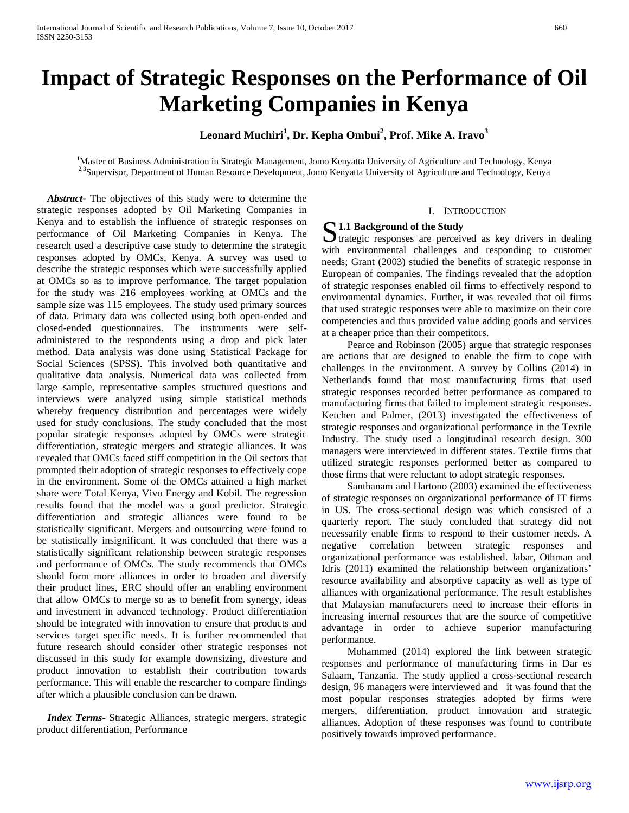# **Impact of Strategic Responses on the Performance of Oil Marketing Companies in Kenya**

### **Leonard Muchiri<sup>1</sup> , Dr. Kepha Ombui<sup>2</sup> , Prof. Mike A. Iravo<sup>3</sup>**

<sup>1</sup>Master of Business Administration in Strategic Management, Jomo Kenyatta University of Agriculture and Technology, Kenya <sup>2,3</sup>Supervisor, Department of Human Resource Development, Jomo Kenyatta University of Agriculture and Technology, Kenya

 *Abstract***-** The objectives of this study were to determine the strategic responses adopted by Oil Marketing Companies in Kenya and to establish the influence of strategic responses on performance of Oil Marketing Companies in Kenya. The research used a descriptive case study to determine the strategic responses adopted by OMCs, Kenya. A survey was used to describe the strategic responses which were successfully applied at OMCs so as to improve performance. The target population for the study was 216 employees working at OMCs and the sample size was 115 employees. The study used primary sources of data. Primary data was collected using both open-ended and closed-ended questionnaires. The instruments were selfadministered to the respondents using a drop and pick later method. Data analysis was done using Statistical Package for Social Sciences (SPSS). This involved both quantitative and qualitative data analysis. Numerical data was collected from large sample, representative samples structured questions and interviews were analyzed using simple statistical methods whereby frequency distribution and percentages were widely used for study conclusions. The study concluded that the most popular strategic responses adopted by OMCs were strategic differentiation, strategic mergers and strategic alliances. It was revealed that OMCs faced stiff competition in the Oil sectors that prompted their adoption of strategic responses to effectively cope in the environment. Some of the OMCs attained a high market share were Total Kenya, Vivo Energy and Kobil. The regression results found that the model was a good predictor. Strategic differentiation and strategic alliances were found to be statistically significant. Mergers and outsourcing were found to be statistically insignificant. It was concluded that there was a statistically significant relationship between strategic responses and performance of OMCs. The study recommends that OMCs should form more alliances in order to broaden and diversify their product lines, ERC should offer an enabling environment that allow OMCs to merge so as to benefit from synergy, ideas and investment in advanced technology. Product differentiation should be integrated with innovation to ensure that products and services target specific needs. It is further recommended that future research should consider other strategic responses not discussed in this study for example downsizing, divesture and product innovation to establish their contribution towards performance. This will enable the researcher to compare findings after which a plausible conclusion can be drawn.

 *Index Terms*- Strategic Alliances, strategic mergers, strategic product differentiation, Performance

#### I. INTRODUCTION

**51.1 Background of the Study**<br> **1.1 Background of the Study**<br> **1.1 Background of the Study**  $\sum$  trategic responses are perceived as key drivers in dealing with environmental challenges and responding to customer needs; Grant (2003) studied the benefits of strategic response in European of companies. The findings revealed that the adoption of strategic responses enabled oil firms to effectively respond to environmental dynamics. Further, it was revealed that oil firms that used strategic responses were able to maximize on their core competencies and thus provided value adding goods and services at a cheaper price than their competitors.

 Pearce and Robinson (2005) argue that strategic responses are actions that are designed to enable the firm to cope with challenges in the environment. A survey by Collins (2014) in Netherlands found that most manufacturing firms that used strategic responses recorded better performance as compared to manufacturing firms that failed to implement strategic responses. Ketchen and Palmer, (2013) investigated the effectiveness of strategic responses and organizational performance in the Textile Industry. The study used a longitudinal research design. 300 managers were interviewed in different states. Textile firms that utilized strategic responses performed better as compared to those firms that were reluctant to adopt strategic responses.

 Santhanam and Hartono (2003) examined the effectiveness of strategic responses on organizational performance of IT firms in US. The cross-sectional design was which consisted of a quarterly report. The study concluded that strategy did not necessarily enable firms to respond to their customer needs. A negative correlation between strategic responses and organizational performance was established. Jabar, Othman and Idris (2011) examined the relationship between organizations' resource availability and absorptive capacity as well as type of alliances with organizational performance. The result establishes that Malaysian manufacturers need to increase their efforts in increasing internal resources that are the source of competitive advantage in order to achieve superior manufacturing performance.

 Mohammed (2014) explored the link between strategic responses and performance of manufacturing firms in Dar es Salaam, Tanzania. The study applied a cross-sectional research design, 96 managers were interviewed and it was found that the most popular responses strategies adopted by firms were mergers, differentiation, product innovation and strategic alliances. Adoption of these responses was found to contribute positively towards improved performance.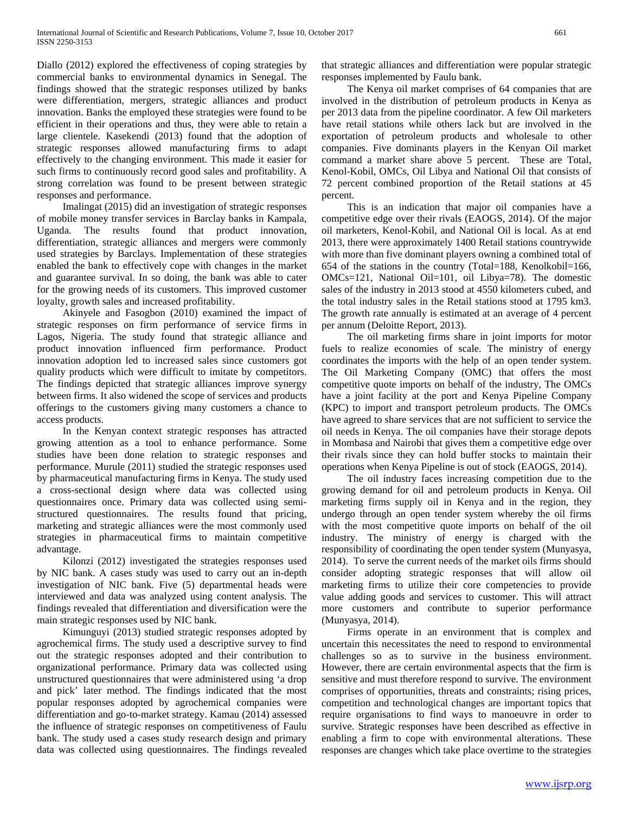Diallo (2012) explored the effectiveness of coping strategies by commercial banks to environmental dynamics in Senegal. The findings showed that the strategic responses utilized by banks were differentiation, mergers, strategic alliances and product innovation. Banks the employed these strategies were found to be efficient in their operations and thus, they were able to retain a large clientele. Kasekendi (2013) found that the adoption of strategic responses allowed manufacturing firms to adapt effectively to the changing environment. This made it easier for such firms to continuously record good sales and profitability. A strong correlation was found to be present between strategic responses and performance.

 Imalingat (2015) did an investigation of strategic responses of mobile money transfer services in Barclay banks in Kampala, Uganda. The results found that product innovation, differentiation, strategic alliances and mergers were commonly used strategies by Barclays. Implementation of these strategies enabled the bank to effectively cope with changes in the market and guarantee survival. In so doing, the bank was able to cater for the growing needs of its customers. This improved customer loyalty, growth sales and increased profitability.

 Akinyele and Fasogbon (2010) examined the impact of strategic responses on firm performance of service firms in Lagos, Nigeria. The study found that strategic alliance and product innovation influenced firm performance. Product innovation adoption led to increased sales since customers got quality products which were difficult to imitate by competitors. The findings depicted that strategic alliances improve synergy between firms. It also widened the scope of services and products offerings to the customers giving many customers a chance to access products.

 In the Kenyan context strategic responses has attracted growing attention as a tool to enhance performance. Some studies have been done relation to strategic responses and performance. Murule (2011) studied the strategic responses used by pharmaceutical manufacturing firms in Kenya. The study used a cross-sectional design where data was collected using questionnaires once. Primary data was collected using semistructured questionnaires. The results found that pricing, marketing and strategic alliances were the most commonly used strategies in pharmaceutical firms to maintain competitive advantage.

 Kilonzi (2012) investigated the strategies responses used by NIC bank. A cases study was used to carry out an in-depth investigation of NIC bank. Five (5) departmental heads were interviewed and data was analyzed using content analysis. The findings revealed that differentiation and diversification were the main strategic responses used by NIC bank.

 Kimunguyi (2013) studied strategic responses adopted by agrochemical firms. The study used a descriptive survey to find out the strategic responses adopted and their contribution to organizational performance. Primary data was collected using unstructured questionnaires that were administered using 'a drop and pick' later method. The findings indicated that the most popular responses adopted by agrochemical companies were differentiation and go-to-market strategy. Kamau (2014) assessed the influence of strategic responses on competitiveness of Faulu bank. The study used a cases study research design and primary data was collected using questionnaires. The findings revealed that strategic alliances and differentiation were popular strategic responses implemented by Faulu bank.

 The Kenya oil market comprises of 64 companies that are involved in the distribution of petroleum products in Kenya as per 2013 data from the pipeline coordinator. A few Oil marketers have retail stations while others lack but are involved in the exportation of petroleum products and wholesale to other companies. Five dominants players in the Kenyan Oil market command a market share above 5 percent. These are Total, Kenol-Kobil, OMCs, Oil Libya and National Oil that consists of 72 percent combined proportion of the Retail stations at 45 percent.

 This is an indication that major oil companies have a competitive edge over their rivals (EAOGS, 2014). Of the major oil marketers, Kenol-Kobil, and National Oil is local. As at end 2013, there were approximately 1400 Retail stations countrywide with more than five dominant players owning a combined total of 654 of the stations in the country (Total=188, Kenolkobil=166, OMCs=121, National Oil=101, oil Libya=78). The domestic sales of the industry in 2013 stood at 4550 kilometers cubed, and the total industry sales in the Retail stations stood at 1795 km3. The growth rate annually is estimated at an average of 4 percent per annum (Deloitte Report, 2013).

 The oil marketing firms share in joint imports for motor fuels to realize economies of scale. The ministry of energy coordinates the imports with the help of an open tender system. The Oil Marketing Company (OMC) that offers the most competitive quote imports on behalf of the industry, The OMCs have a joint facility at the port and Kenya Pipeline Company (KPC) to import and transport petroleum products. The OMCs have agreed to share services that are not sufficient to service the oil needs in Kenya. The oil companies have their storage depots in Mombasa and Nairobi that gives them a competitive edge over their rivals since they can hold buffer stocks to maintain their operations when Kenya Pipeline is out of stock (EAOGS, 2014).

 The oil industry faces increasing competition due to the growing demand for oil and petroleum products in Kenya. Oil marketing firms supply oil in Kenya and in the region, they undergo through an open tender system whereby the oil firms with the most competitive quote imports on behalf of the oil industry. The ministry of energy is charged with the responsibility of coordinating the open tender system (Munyasya, 2014). To serve the current needs of the market oils firms should consider adopting strategic responses that will allow oil marketing firms to utilize their core competencies to provide value adding goods and services to customer. This will attract more customers and contribute to superior performance (Munyasya, 2014).

 Firms operate in an environment that is complex and uncertain this necessitates the need to respond to environmental challenges so as to survive in the business environment. However, there are certain environmental aspects that the firm is sensitive and must therefore respond to survive. The environment comprises of opportunities, threats and constraints; rising prices, competition and technological changes are important topics that require organisations to find ways to manoeuvre in order to survive. Strategic responses have been described as effective in enabling a firm to cope with environmental alterations. These responses are changes which take place overtime to the strategies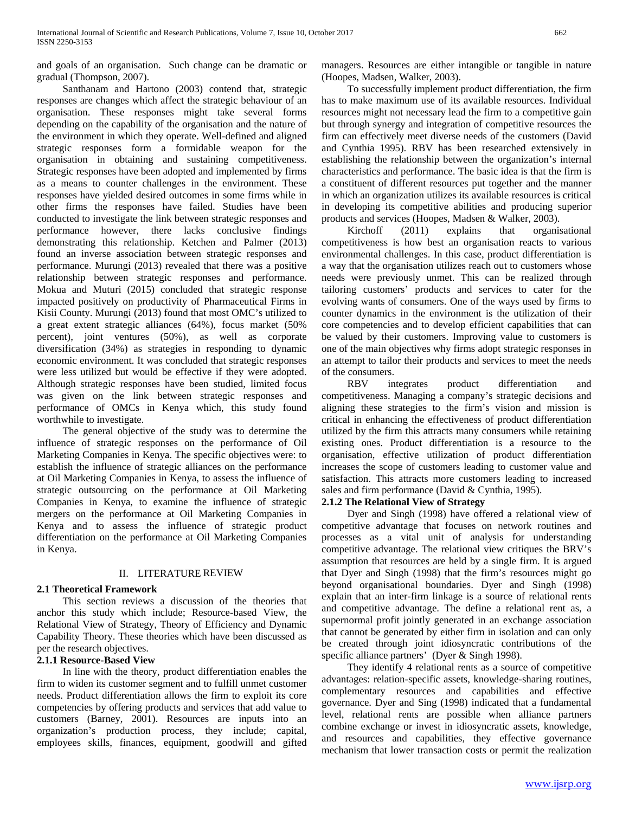and goals of an organisation. Such change can be dramatic or gradual (Thompson, 2007).

 Santhanam and Hartono (2003) contend that, strategic responses are changes which affect the strategic behaviour of an organisation. These responses might take several forms depending on the capability of the organisation and the nature of the environment in which they operate. Well-defined and aligned strategic responses form a formidable weapon for the organisation in obtaining and sustaining competitiveness. Strategic responses have been adopted and implemented by firms as a means to counter challenges in the environment. These responses have yielded desired outcomes in some firms while in other firms the responses have failed. Studies have been conducted to investigate the link between strategic responses and performance however, there lacks conclusive findings demonstrating this relationship. Ketchen and Palmer (2013) found an inverse association between strategic responses and performance. Murungi (2013) revealed that there was a positive relationship between strategic responses and performance. Mokua and Muturi (2015) concluded that strategic response impacted positively on productivity of Pharmaceutical Firms in Kisii County. Murungi (2013) found that most OMC's utilized to a great extent strategic alliances (64%), focus market (50% percent), joint ventures (50%), as well as corporate diversification (34%) as strategies in responding to dynamic economic environment. It was concluded that strategic responses were less utilized but would be effective if they were adopted. Although strategic responses have been studied, limited focus was given on the link between strategic responses and performance of OMCs in Kenya which, this study found worthwhile to investigate.

 The general objective of the study was to determine the influence of strategic responses on the performance of Oil Marketing Companies in Kenya. The specific objectives were: to establish the influence of strategic alliances on the performance at Oil Marketing Companies in Kenya, to assess the influence of strategic outsourcing on the performance at Oil Marketing Companies in Kenya, to examine the influence of strategic mergers on the performance at Oil Marketing Companies in Kenya and to assess the influence of strategic product differentiation on the performance at Oil Marketing Companies in Kenya.

#### II. LITERATURE REVIEW

#### **2.1 Theoretical Framework**

 This section reviews a discussion of the theories that anchor this study which include; Resource-based View, the Relational View of Strategy, Theory of Efficiency and Dynamic Capability Theory. These theories which have been discussed as per the research objectives.

#### **2.1.1 Resource-Based View**

 In line with the theory, product differentiation enables the firm to widen its customer segment and to fulfill unmet customer needs. Product differentiation allows the firm to exploit its core competencies by offering products and services that add value to customers (Barney, 2001). Resources are inputs into an organization's production process, they include; capital, employees skills, finances, equipment, goodwill and gifted managers. Resources are either intangible or tangible in nature (Hoopes, Madsen, Walker, 2003).

 To successfully implement product differentiation, the firm has to make maximum use of its available resources. Individual resources might not necessary lead the firm to a competitive gain but through synergy and integration of competitive resources the firm can effectively meet diverse needs of the customers (David and Cynthia 1995). RBV has been researched extensively in establishing the relationship between the organization's internal characteristics and performance. The basic idea is that the firm is a constituent of different resources put together and the manner in which an organization utilizes its available resources is critical in developing its competitive abilities and producing superior products and services (Hoopes, Madsen & Walker, 2003).

 Kirchoff (2011) explains that organisational competitiveness is how best an organisation reacts to various environmental challenges. In this case, product differentiation is a way that the organisation utilizes reach out to customers whose needs were previously unmet. This can be realized through tailoring customers' products and services to cater for the evolving wants of consumers. One of the ways used by firms to counter dynamics in the environment is the utilization of their core competencies and to develop efficient capabilities that can be valued by their customers. Improving value to customers is one of the main objectives why firms adopt strategic responses in an attempt to tailor their products and services to meet the needs of the consumers.

 RBV integrates product differentiation and competitiveness. Managing a company's strategic decisions and aligning these strategies to the firm's vision and mission is critical in enhancing the effectiveness of product differentiation utilized by the firm this attracts many consumers while retaining existing ones. Product differentiation is a resource to the organisation, effective utilization of product differentiation increases the scope of customers leading to customer value and satisfaction. This attracts more customers leading to increased sales and firm performance (David & Cynthia, 1995).

#### **2.1.2 The Relational View of Strategy**

 Dyer and Singh (1998) have offered a relational view of competitive advantage that focuses on network routines and processes as a vital unit of analysis for understanding competitive advantage. The relational view critiques the BRV's assumption that resources are held by a single firm. It is argued that Dyer and Singh (1998) that the firm's resources might go beyond organisational boundaries. Dyer and Singh (1998) explain that an inter-firm linkage is a source of relational rents and competitive advantage. The define a relational rent as, a supernormal profit jointly generated in an exchange association that cannot be generated by either firm in isolation and can only be created through joint idiosyncratic contributions of the specific alliance partners' (Dyer & Singh 1998).

 They identify 4 relational rents as a source of competitive advantages: relation-specific assets, knowledge-sharing routines, complementary resources and capabilities and effective governance. Dyer and Sing (1998) indicated that a fundamental level, relational rents are possible when alliance partners combine exchange or invest in idiosyncratic assets, knowledge, and resources and capabilities, they effective governance mechanism that lower transaction costs or permit the realization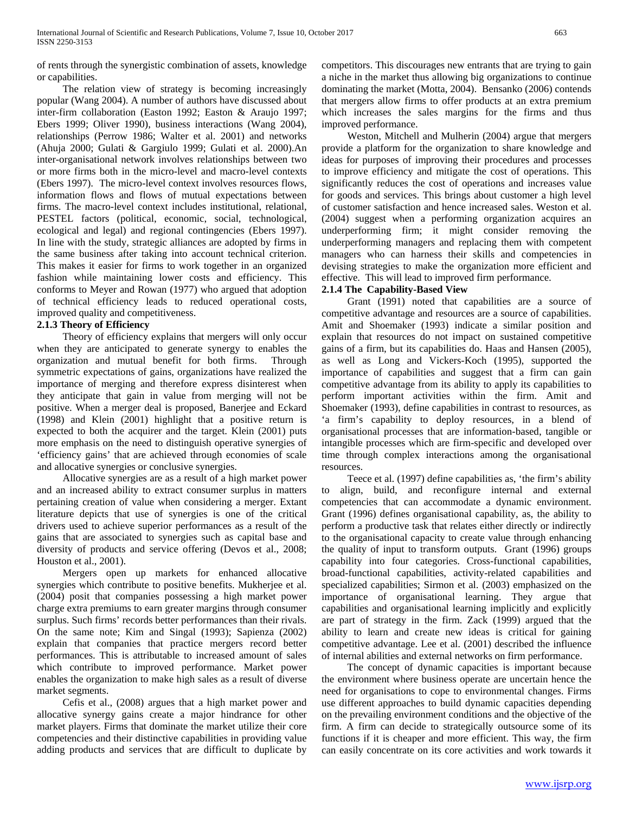of rents through the synergistic combination of assets, knowledge or capabilities.

 The relation view of strategy is becoming increasingly popular (Wang 2004). A number of authors have discussed about inter-firm collaboration (Easton 1992; Easton & Araujo 1997; Ebers 1999; Oliver 1990), business interactions (Wang 2004), relationships (Perrow 1986; Walter et al. 2001) and networks (Ahuja 2000; Gulati & Gargiulo 1999; Gulati et al. 2000).An inter-organisational network involves relationships between two or more firms both in the micro-level and macro-level contexts (Ebers 1997). The micro-level context involves resources flows, information flows and flows of mutual expectations between firms. The macro-level context includes institutional, relational, PESTEL factors (political, economic, social, technological, ecological and legal) and regional contingencies (Ebers 1997). In line with the study, strategic alliances are adopted by firms in the same business after taking into account technical criterion. This makes it easier for firms to work together in an organized fashion while maintaining lower costs and efficiency. This conforms to Meyer and Rowan (1977) who argued that adoption of technical efficiency leads to reduced operational costs, improved quality and competitiveness.

#### **2.1.3 Theory of Efficiency**

 Theory of efficiency explains that mergers will only occur when they are anticipated to generate synergy to enables the organization and mutual benefit for both firms. Through symmetric expectations of gains, organizations have realized the importance of merging and therefore express disinterest when they anticipate that gain in value from merging will not be positive. When a merger deal is proposed, Banerjee and Eckard (1998) and Klein (2001) highlight that a positive return is expected to both the acquirer and the target. Klein (2001) puts more emphasis on the need to distinguish operative synergies of 'efficiency gains' that are achieved through economies of scale and allocative synergies or conclusive synergies.

 Allocative synergies are as a result of a high market power and an increased ability to extract consumer surplus in matters pertaining creation of value when considering a merger. Extant literature depicts that use of synergies is one of the critical drivers used to achieve superior performances as a result of the gains that are associated to synergies such as capital base and diversity of products and service offering (Devos et al., 2008; Houston et al., 2001).

 Mergers open up markets for enhanced allocative synergies which contribute to positive benefits. Mukherjee et al. (2004) posit that companies possessing a high market power charge extra premiums to earn greater margins through consumer surplus. Such firms' records better performances than their rivals. On the same note; Kim and Singal (1993); Sapienza (2002) explain that companies that practice mergers record better performances. This is attributable to increased amount of sales which contribute to improved performance. Market power enables the organization to make high sales as a result of diverse market segments.

 Cefis et al., (2008) argues that a high market power and allocative synergy gains create a major hindrance for other market players. Firms that dominate the market utilize their core competencies and their distinctive capabilities in providing value adding products and services that are difficult to duplicate by

competitors. This discourages new entrants that are trying to gain a niche in the market thus allowing big organizations to continue dominating the market (Motta, 2004). Bensanko (2006) contends that mergers allow firms to offer products at an extra premium which increases the sales margins for the firms and thus improved performance.

 Weston, Mitchell and Mulherin (2004) argue that mergers provide a platform for the organization to share knowledge and ideas for purposes of improving their procedures and processes to improve efficiency and mitigate the cost of operations. This significantly reduces the cost of operations and increases value for goods and services. This brings about customer a high level of customer satisfaction and hence increased sales. Weston et al. (2004) suggest when a performing organization acquires an underperforming firm; it might consider removing the underperforming managers and replacing them with competent managers who can harness their skills and competencies in devising strategies to make the organization more efficient and effective. This will lead to improved firm performance.

#### **2.1.4 The Capability-Based View**

 Grant (1991) noted that capabilities are a source of competitive advantage and resources are a source of capabilities. Amit and Shoemaker (1993) indicate a similar position and explain that resources do not impact on sustained competitive gains of a firm, but its capabilities do. Haas and Hansen (2005), as well as Long and Vickers-Koch (1995), supported the importance of capabilities and suggest that a firm can gain competitive advantage from its ability to apply its capabilities to perform important activities within the firm. Amit and Shoemaker (1993), define capabilities in contrast to resources, as 'a firm's capability to deploy resources, in a blend of organisational processes that are information-based, tangible or intangible processes which are firm-specific and developed over time through complex interactions among the organisational resources.

 Teece et al. (1997) define capabilities as, 'the firm's ability to align, build, and reconfigure internal and external competencies that can accommodate a dynamic environment. Grant (1996) defines organisational capability, as, the ability to perform a productive task that relates either directly or indirectly to the organisational capacity to create value through enhancing the quality of input to transform outputs. Grant (1996) groups capability into four categories. Cross-functional capabilities, broad-functional capabilities, activity-related capabilities and specialized capabilities; Sirmon et al. (2003) emphasized on the importance of organisational learning. They argue that capabilities and organisational learning implicitly and explicitly are part of strategy in the firm. Zack (1999) argued that the ability to learn and create new ideas is critical for gaining competitive advantage. Lee et al. (2001) described the influence of internal abilities and external networks on firm performance.

 The concept of dynamic capacities is important because the environment where business operate are uncertain hence the need for organisations to cope to environmental changes. Firms use different approaches to build dynamic capacities depending on the prevailing environment conditions and the objective of the firm. A firm can decide to strategically outsource some of its functions if it is cheaper and more efficient. This way, the firm can easily concentrate on its core activities and work towards it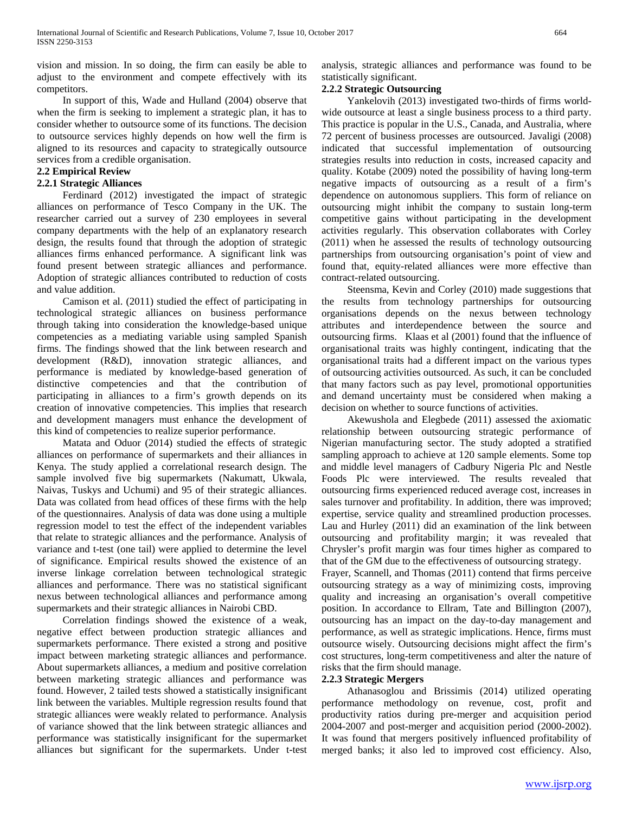vision and mission. In so doing, the firm can easily be able to adjust to the environment and compete effectively with its competitors.

 In support of this, Wade and Hulland (2004) observe that when the firm is seeking to implement a strategic plan, it has to consider whether to outsource some of its functions. The decision to outsource services highly depends on how well the firm is aligned to its resources and capacity to strategically outsource services from a credible organisation.

#### **2.2 Empirical Review**

#### **2.2.1 Strategic Alliances**

 Ferdinard (2012) investigated the impact of strategic alliances on performance of Tesco Company in the UK. The researcher carried out a survey of 230 employees in several company departments with the help of an explanatory research design, the results found that through the adoption of strategic alliances firms enhanced performance. A significant link was found present between strategic alliances and performance. Adoption of strategic alliances contributed to reduction of costs and value addition.

 Camison et al. (2011) studied the effect of participating in technological strategic alliances on business performance through taking into consideration the knowledge-based unique competencies as a mediating variable using sampled Spanish firms. The findings showed that the link between research and development (R&D), innovation strategic alliances, and performance is mediated by knowledge-based generation of distinctive competencies and that the contribution of participating in alliances to a firm's growth depends on its creation of innovative competencies. This implies that research and development managers must enhance the development of this kind of competencies to realize superior performance.

 Matata and Oduor (2014) studied the effects of strategic alliances on performance of supermarkets and their alliances in Kenya. The study applied a correlational research design. The sample involved five big supermarkets (Nakumatt, Ukwala, Naivas, Tuskys and Uchumi) and 95 of their strategic alliances. Data was collated from head offices of these firms with the help of the questionnaires. Analysis of data was done using a multiple regression model to test the effect of the independent variables that relate to strategic alliances and the performance. Analysis of variance and t-test (one tail) were applied to determine the level of significance. Empirical results showed the existence of an inverse linkage correlation between technological strategic alliances and performance. There was no statistical significant nexus between technological alliances and performance among supermarkets and their strategic alliances in Nairobi CBD.

 Correlation findings showed the existence of a weak, negative effect between production strategic alliances and supermarkets performance. There existed a strong and positive impact between marketing strategic alliances and performance. About supermarkets alliances, a medium and positive correlation between marketing strategic alliances and performance was found. However, 2 tailed tests showed a statistically insignificant link between the variables. Multiple regression results found that strategic alliances were weakly related to performance. Analysis of variance showed that the link between strategic alliances and performance was statistically insignificant for the supermarket alliances but significant for the supermarkets. Under t-test analysis, strategic alliances and performance was found to be statistically significant.

#### **2.2.2 Strategic Outsourcing**

 Yankelovih (2013) investigated two-thirds of firms worldwide outsource at least a single business process to a third party. This practice is popular in the U.S., Canada, and Australia, where 72 percent of business processes are outsourced. Javaligi (2008) indicated that successful implementation of outsourcing strategies results into reduction in costs, increased capacity and quality. Kotabe (2009) noted the possibility of having long-term negative impacts of outsourcing as a result of a firm's dependence on autonomous suppliers. This form of reliance on outsourcing might inhibit the company to sustain long-term competitive gains without participating in the development activities regularly. This observation collaborates with Corley (2011) when he assessed the results of technology outsourcing partnerships from outsourcing organisation's point of view and found that, equity-related alliances were more effective than contract-related outsourcing.

 Steensma, Kevin and Corley (2010) made suggestions that the results from technology partnerships for outsourcing organisations depends on the nexus between technology attributes and interdependence between the source and outsourcing firms. Klaas et al (2001) found that the influence of organisational traits was highly contingent, indicating that the organisational traits had a different impact on the various types of outsourcing activities outsourced. As such, it can be concluded that many factors such as pay level, promotional opportunities and demand uncertainty must be considered when making a decision on whether to source functions of activities.

 Akewushola and Elegbede (2011) assessed the axiomatic relationship between outsourcing strategic performance of Nigerian manufacturing sector. The study adopted a stratified sampling approach to achieve at 120 sample elements. Some top and middle level managers of Cadbury Nigeria Plc and Nestle Foods Plc were interviewed. The results revealed that outsourcing firms experienced reduced average cost, increases in sales turnover and profitability. In addition, there was improved; expertise, service quality and streamlined production processes. Lau and Hurley (2011) did an examination of the link between outsourcing and profitability margin; it was revealed that Chrysler's profit margin was four times higher as compared to that of the GM due to the effectiveness of outsourcing strategy.

Frayer, Scannell, and Thomas (2011) contend that firms perceive outsourcing strategy as a way of minimizing costs, improving quality and increasing an organisation's overall competitive position. In accordance to Ellram, Tate and Billington (2007), outsourcing has an impact on the day-to-day management and performance, as well as strategic implications. Hence, firms must outsource wisely. Outsourcing decisions might affect the firm's cost structures, long-term competitiveness and alter the nature of risks that the firm should manage.

#### **2.2.3 Strategic Mergers**

 Athanasoglou and Brissimis (2014) utilized operating performance methodology on revenue, cost, profit and productivity ratios during pre-merger and acquisition period 2004-2007 and post-merger and acquisition period (2000-2002). It was found that mergers positively influenced profitability of merged banks; it also led to improved cost efficiency. Also,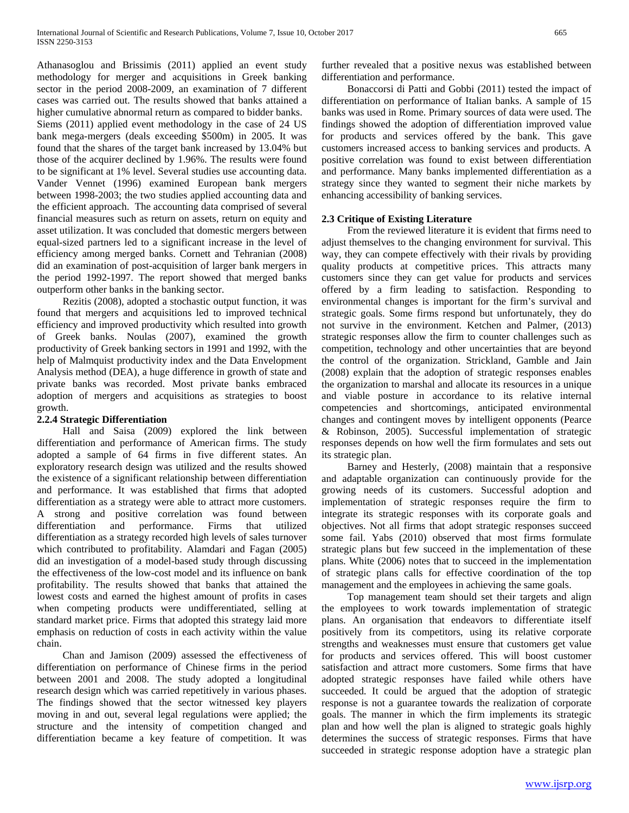Athanasoglou and Brissimis (2011) applied an event study methodology for merger and acquisitions in Greek banking sector in the period 2008-2009, an examination of 7 different cases was carried out. The results showed that banks attained a higher cumulative abnormal return as compared to bidder banks. Siems (2011) applied event methodology in the case of 24 US bank mega-mergers (deals exceeding \$500m) in 2005. It was found that the shares of the target bank increased by 13.04% but those of the acquirer declined by 1.96%. The results were found to be significant at 1% level. Several studies use accounting data. Vander Vennet (1996) examined European bank mergers between 1998-2003; the two studies applied accounting data and the efficient approach. The accounting data comprised of several financial measures such as return on assets, return on equity and asset utilization. It was concluded that domestic mergers between equal-sized partners led to a significant increase in the level of efficiency among merged banks. Cornett and Tehranian (2008) did an examination of post-acquisition of larger bank mergers in the period 1992-1997. The report showed that merged banks outperform other banks in the banking sector.

 Rezitis (2008), adopted a stochastic output function, it was found that mergers and acquisitions led to improved technical efficiency and improved productivity which resulted into growth of Greek banks. Noulas (2007), examined the growth productivity of Greek banking sectors in 1991 and 1992, with the help of Malmquist productivity index and the Data Envelopment Analysis method (DEA), a huge difference in growth of state and private banks was recorded. Most private banks embraced adoption of mergers and acquisitions as strategies to boost growth.

#### **2.2.4 Strategic Differentiation**

 Hall and Saisa (2009) explored the link between differentiation and performance of American firms. The study adopted a sample of 64 firms in five different states. An exploratory research design was utilized and the results showed the existence of a significant relationship between differentiation and performance. It was established that firms that adopted differentiation as a strategy were able to attract more customers. A strong and positive correlation was found between differentiation and performance. Firms that utilized differentiation as a strategy recorded high levels of sales turnover which contributed to profitability. Alamdari and Fagan (2005) did an investigation of a model-based study through discussing the effectiveness of the low-cost model and its influence on bank profitability. The results showed that banks that attained the lowest costs and earned the highest amount of profits in cases when competing products were undifferentiated, selling at standard market price. Firms that adopted this strategy laid more emphasis on reduction of costs in each activity within the value chain.

 Chan and Jamison (2009) assessed the effectiveness of differentiation on performance of Chinese firms in the period between 2001 and 2008. The study adopted a longitudinal research design which was carried repetitively in various phases. The findings showed that the sector witnessed key players moving in and out, several legal regulations were applied; the structure and the intensity of competition changed and differentiation became a key feature of competition. It was further revealed that a positive nexus was established between differentiation and performance.

 Bonaccorsi di Patti and Gobbi (2011) tested the impact of differentiation on performance of Italian banks. A sample of 15 banks was used in Rome. Primary sources of data were used. The findings showed the adoption of differentiation improved value for products and services offered by the bank. This gave customers increased access to banking services and products. A positive correlation was found to exist between differentiation and performance. Many banks implemented differentiation as a strategy since they wanted to segment their niche markets by enhancing accessibility of banking services.

#### **2.3 Critique of Existing Literature**

 From the reviewed literature it is evident that firms need to adjust themselves to the changing environment for survival. This way, they can compete effectively with their rivals by providing quality products at competitive prices. This attracts many customers since they can get value for products and services offered by a firm leading to satisfaction. Responding to environmental changes is important for the firm's survival and strategic goals. Some firms respond but unfortunately, they do not survive in the environment. Ketchen and Palmer, (2013) strategic responses allow the firm to counter challenges such as competition, technology and other uncertainties that are beyond the control of the organization. Strickland, Gamble and Jain (2008) explain that the adoption of strategic responses enables the organization to marshal and allocate its resources in a unique and viable posture in accordance to its relative internal competencies and shortcomings, anticipated environmental changes and contingent moves by intelligent opponents (Pearce & Robinson, 2005). Successful implementation of strategic responses depends on how well the firm formulates and sets out its strategic plan.

 Barney and Hesterly, (2008) maintain that a responsive and adaptable organization can continuously provide for the growing needs of its customers. Successful adoption and implementation of strategic responses require the firm to integrate its strategic responses with its corporate goals and objectives. Not all firms that adopt strategic responses succeed some fail. Yabs (2010) observed that most firms formulate strategic plans but few succeed in the implementation of these plans. White (2006) notes that to succeed in the implementation of strategic plans calls for effective coordination of the top management and the employees in achieving the same goals.

 Top management team should set their targets and align the employees to work towards implementation of strategic plans. An organisation that endeavors to differentiate itself positively from its competitors, using its relative corporate strengths and weaknesses must ensure that customers get value for products and services offered. This will boost customer satisfaction and attract more customers. Some firms that have adopted strategic responses have failed while others have succeeded. It could be argued that the adoption of strategic response is not a guarantee towards the realization of corporate goals. The manner in which the firm implements its strategic plan and how well the plan is aligned to strategic goals highly determines the success of strategic responses. Firms that have succeeded in strategic response adoption have a strategic plan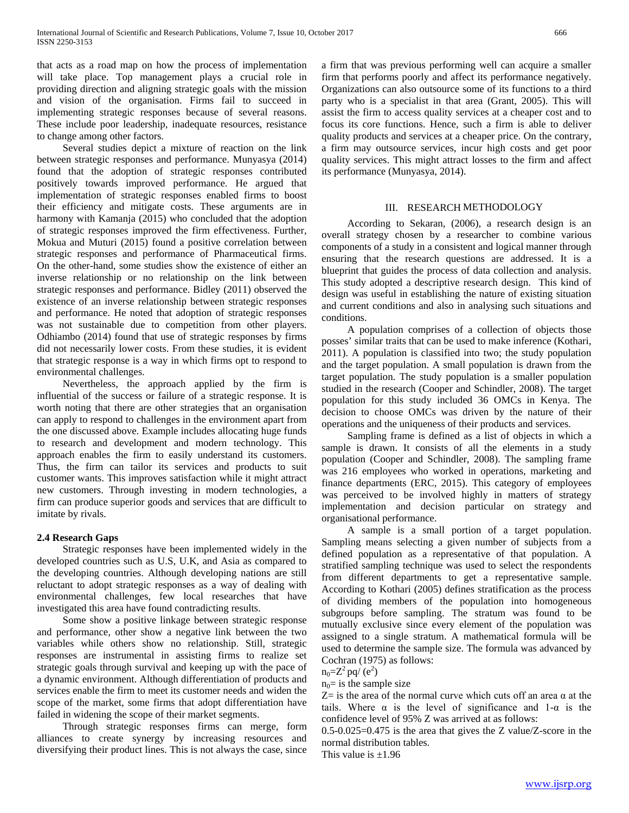that acts as a road map on how the process of implementation will take place. Top management plays a crucial role in providing direction and aligning strategic goals with the mission and vision of the organisation. Firms fail to succeed in implementing strategic responses because of several reasons. These include poor leadership, inadequate resources, resistance to change among other factors.

 Several studies depict a mixture of reaction on the link between strategic responses and performance. Munyasya (2014) found that the adoption of strategic responses contributed positively towards improved performance. He argued that implementation of strategic responses enabled firms to boost their efficiency and mitigate costs. These arguments are in harmony with Kamanja (2015) who concluded that the adoption of strategic responses improved the firm effectiveness. Further, Mokua and Muturi (2015) found a positive correlation between strategic responses and performance of Pharmaceutical firms. On the other-hand, some studies show the existence of either an inverse relationship or no relationship on the link between strategic responses and performance. Bidley (2011) observed the existence of an inverse relationship between strategic responses and performance. He noted that adoption of strategic responses was not sustainable due to competition from other players. Odhiambo (2014) found that use of strategic responses by firms did not necessarily lower costs. From these studies, it is evident that strategic response is a way in which firms opt to respond to environmental challenges.

 Nevertheless, the approach applied by the firm is influential of the success or failure of a strategic response. It is worth noting that there are other strategies that an organisation can apply to respond to challenges in the environment apart from the one discussed above. Example includes allocating huge funds to research and development and modern technology. This approach enables the firm to easily understand its customers. Thus, the firm can tailor its services and products to suit customer wants. This improves satisfaction while it might attract new customers. Through investing in modern technologies, a firm can produce superior goods and services that are difficult to imitate by rivals.

#### **2.4 Research Gaps**

 Strategic responses have been implemented widely in the developed countries such as U.S, U.K, and Asia as compared to the developing countries. Although developing nations are still reluctant to adopt strategic responses as a way of dealing with environmental challenges, few local researches that have investigated this area have found contradicting results.

 Some show a positive linkage between strategic response and performance, other show a negative link between the two variables while others show no relationship. Still, strategic responses are instrumental in assisting firms to realize set strategic goals through survival and keeping up with the pace of a dynamic environment. Although differentiation of products and services enable the firm to meet its customer needs and widen the scope of the market, some firms that adopt differentiation have failed in widening the scope of their market segments.

 Through strategic responses firms can merge, form alliances to create synergy by increasing resources and diversifying their product lines. This is not always the case, since

a firm that was previous performing well can acquire a smaller firm that performs poorly and affect its performance negatively. Organizations can also outsource some of its functions to a third party who is a specialist in that area (Grant, 2005). This will assist the firm to access quality services at a cheaper cost and to focus its core functions. Hence, such a firm is able to deliver quality products and services at a cheaper price. On the contrary, a firm may outsource services, incur high costs and get poor quality services. This might attract losses to the firm and affect its performance (Munyasya, 2014).

#### III. RESEARCH METHODOLOGY

 According to Sekaran, (2006), a research design is an overall strategy chosen by a researcher to combine various components of a study in a consistent and logical manner through ensuring that the research questions are addressed. It is a blueprint that guides the process of data collection and analysis. This study adopted a descriptive research design. This kind of design was useful in establishing the nature of existing situation and current conditions and also in analysing such situations and conditions.

 A population comprises of a collection of objects those posses' similar traits that can be used to make inference (Kothari, 2011). A population is classified into two; the study population and the target population. A small population is drawn from the target population. The study population is a smaller population studied in the research (Cooper and Schindler, 2008). The target population for this study included 36 OMCs in Kenya. The decision to choose OMCs was driven by the nature of their operations and the uniqueness of their products and services.

 Sampling frame is defined as a list of objects in which a sample is drawn. It consists of all the elements in a study population (Cooper and Schindler, 2008). The sampling frame was 216 employees who worked in operations, marketing and finance departments (ERC, 2015). This category of employees was perceived to be involved highly in matters of strategy implementation and decision particular on strategy and organisational performance.

 A sample is a small portion of a target population. Sampling means selecting a given number of subjects from a defined population as a representative of that population. A stratified sampling technique was used to select the respondents from different departments to get a representative sample. According to Kothari (2005) defines stratification as the process of dividing members of the population into homogeneous subgroups before sampling. The stratum was found to be mutually exclusive since every element of the population was assigned to a single stratum. A mathematical formula will be used to determine the sample size. The formula was advanced by Cochran (1975) as follows:

$$
n_0 = Z^2 \, pq / \left(e^2\right)
$$

 $n_0$ = is the sample size

 $Z$ = is the area of the normal curve which cuts off an area  $\alpha$  at the tails. Where  $\alpha$  is the level of significance and 1- $\alpha$  is the confidence level of 95% Z was arrived at as follows:

0.5-0.025=0.475 is the area that gives the Z value/Z-score in the normal distribution tables.

This value is  $\pm 1.96$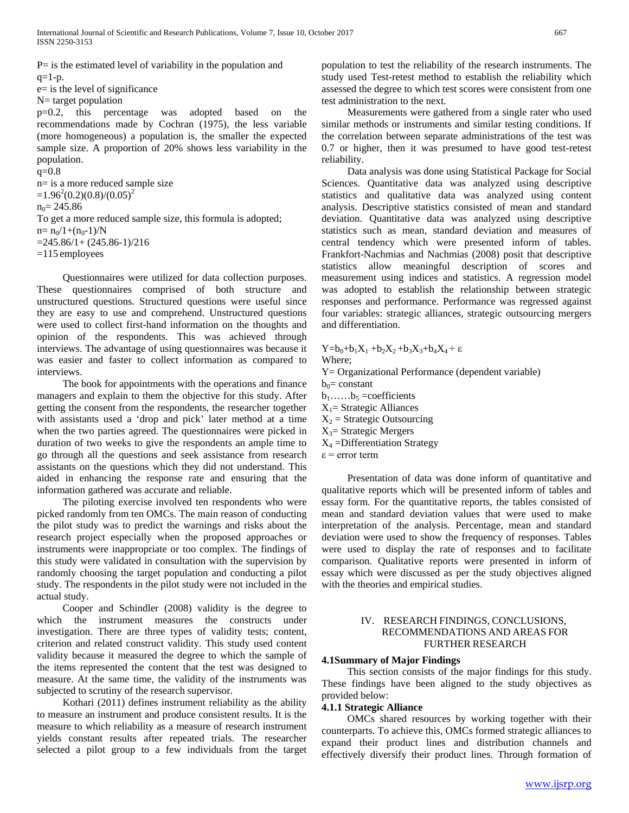$P=$  is the estimated level of variability in the population and  $q=1-p$ .

e= is the level of significance

N= target population

p=0.2, this percentage was adopted based on the recommendations made by Cochran (1975), the less variable (more homogeneous) a population is, the smaller the expected sample size. A proportion of 20% shows less variability in the population.

 $q=0.8$ n= is a more reduced sample size  $=1.96^2(0.2)(0.8)/(0.05)^2$  $n_0$ = 245.86 To get a more reduced sample size, this formula is adopted;  $n=n_0/1+(n_0-1)/N$  $=245.86/1+(245.86-1)/216$ =115 employees

 Questionnaires were utilized for data collection purposes. These questionnaires comprised of both structure and unstructured questions. Structured questions were useful since they are easy to use and comprehend. Unstructured questions were used to collect first-hand information on the thoughts and opinion of the respondents. This was achieved through interviews. The advantage of using questionnaires was because it was easier and faster to collect information as compared to interviews.

 The book for appointments with the operations and finance managers and explain to them the objective for this study. After getting the consent from the respondents, the researcher together with assistants used a 'drop and pick' later method at a time when the two parties agreed. The questionnaires were picked in duration of two weeks to give the respondents an ample time to go through all the questions and seek assistance from research assistants on the questions which they did not understand. This aided in enhancing the response rate and ensuring that the information gathered was accurate and reliable.

 The piloting exercise involved ten respondents who were picked randomly from ten OMCs. The main reason of conducting the pilot study was to predict the warnings and risks about the research project especially when the proposed approaches or instruments were inappropriate or too complex. The findings of this study were validated in consultation with the supervision by randomly choosing the target population and conducting a pilot study. The respondents in the pilot study were not included in the actual study.

 Cooper and Schindler (2008) validity is the degree to which the instrument measures the constructs under investigation. There are three types of validity tests; content, criterion and related construct validity. This study used content validity because it measured the degree to which the sample of the items represented the content that the test was designed to measure. At the same time, the validity of the instruments was subjected to scrutiny of the research supervisor.

 Kothari (2011) defines instrument reliability as the ability to measure an instrument and produce consistent results. It is the measure to which reliability as a measure of research instrument yields constant results after repeated trials. The researcher selected a pilot group to a few individuals from the target

population to test the reliability of the research instruments. The study used Test-retest method to establish the reliability which assessed the degree to which test scores were consistent from one test administration to the next.

 Measurements were gathered from a single rater who used similar methods or instruments and similar testing conditions. If the correlation between separate administrations of the test was 0.7 or higher, then it was presumed to have good test-retest reliability.

 Data analysis was done using Statistical Package for Social Sciences. Quantitative data was analyzed using descriptive statistics and qualitative data was analyzed using content analysis. Descriptive statistics consisted of mean and standard deviation. Quantitative data was analyzed using descriptive statistics such as mean, standard deviation and measures of central tendency which were presented inform of tables. Frankfort-Nachmias and Nachmias (2008) posit that descriptive statistics allow meaningful description of scores and measurement using indices and statistics. A regression model was adopted to establish the relationship between strategic responses and performance. Performance was regressed against four variables: strategic alliances, strategic outsourcing mergers and differentiation.

Y=b<sub>0</sub>+b<sub>1</sub>X<sub>1</sub> +b<sub>2</sub>X<sub>2</sub> +b<sub>3</sub>X<sub>3</sub>+b<sub>4</sub>X<sub>4</sub> + ε Where; Y= Organizational Performance (dependent variable)  $b_0$ = constant  $b_1$ ……b<sub>5</sub> =coefficients  $X_1$ = Strategic Alliances  $X_2$  = Strategic Outsourcing  $X_3$ = Strategic Mergers  $X_4 =$ Differentiation Strategy  $\varepsilon$  = error term

 Presentation of data was done inform of quantitative and qualitative reports which will be presented inform of tables and essay form. For the quantitative reports, the tables consisted of mean and standard deviation values that were used to make interpretation of the analysis. Percentage, mean and standard deviation were used to show the frequency of responses. Tables were used to display the rate of responses and to facilitate comparison. Qualitative reports were presented in inform of essay which were discussed as per the study objectives aligned with the theories and empirical studies.

#### IV. RESEARCH FINDINGS, CONCLUSIONS, RECOMMENDATIONS AND AREAS FOR FURTHER RESEARCH

#### **4.1Summary of Major Findings**

 This section consists of the major findings for this study. These findings have been aligned to the study objectives as provided below:

#### **4.1.1 Strategic Alliance**

 OMCs shared resources by working together with their counterparts. To achieve this, OMCs formed strategic alliances to expand their product lines and distribution channels and effectively diversify their product lines. Through formation of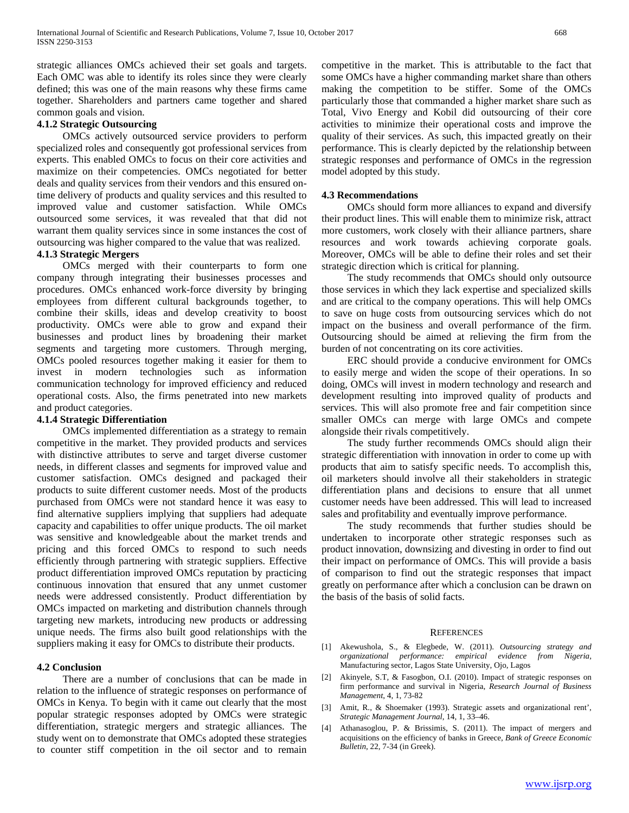strategic alliances OMCs achieved their set goals and targets. Each OMC was able to identify its roles since they were clearly defined; this was one of the main reasons why these firms came together. Shareholders and partners came together and shared common goals and vision.

#### **4.1.2 Strategic Outsourcing**

 OMCs actively outsourced service providers to perform specialized roles and consequently got professional services from experts. This enabled OMCs to focus on their core activities and maximize on their competencies. OMCs negotiated for better deals and quality services from their vendors and this ensured ontime delivery of products and quality services and this resulted to improved value and customer satisfaction. While OMCs outsourced some services, it was revealed that that did not warrant them quality services since in some instances the cost of outsourcing was higher compared to the value that was realized.

#### **4.1.3 Strategic Mergers**

 OMCs merged with their counterparts to form one company through integrating their businesses processes and procedures. OMCs enhanced work-force diversity by bringing employees from different cultural backgrounds together, to combine their skills, ideas and develop creativity to boost productivity. OMCs were able to grow and expand their businesses and product lines by broadening their market segments and targeting more customers. Through merging, OMCs pooled resources together making it easier for them to invest in modern technologies such as information communication technology for improved efficiency and reduced operational costs. Also, the firms penetrated into new markets and product categories.

#### **4.1.4 Strategic Differentiation**

 OMCs implemented differentiation as a strategy to remain competitive in the market. They provided products and services with distinctive attributes to serve and target diverse customer needs, in different classes and segments for improved value and customer satisfaction. OMCs designed and packaged their products to suite different customer needs. Most of the products purchased from OMCs were not standard hence it was easy to find alternative suppliers implying that suppliers had adequate capacity and capabilities to offer unique products. The oil market was sensitive and knowledgeable about the market trends and pricing and this forced OMCs to respond to such needs efficiently through partnering with strategic suppliers. Effective product differentiation improved OMCs reputation by practicing continuous innovation that ensured that any unmet customer needs were addressed consistently. Product differentiation by OMCs impacted on marketing and distribution channels through targeting new markets, introducing new products or addressing unique needs. The firms also built good relationships with the suppliers making it easy for OMCs to distribute their products.

#### **4.2 Conclusion**

 There are a number of conclusions that can be made in relation to the influence of strategic responses on performance of OMCs in Kenya. To begin with it came out clearly that the most popular strategic responses adopted by OMCs were strategic differentiation, strategic mergers and strategic alliances. The study went on to demonstrate that OMCs adopted these strategies to counter stiff competition in the oil sector and to remain

competitive in the market. This is attributable to the fact that some OMCs have a higher commanding market share than others making the competition to be stiffer. Some of the OMCs particularly those that commanded a higher market share such as Total, Vivo Energy and Kobil did outsourcing of their core activities to minimize their operational costs and improve the quality of their services. As such, this impacted greatly on their performance. This is clearly depicted by the relationship between strategic responses and performance of OMCs in the regression model adopted by this study.

#### **4.3 Recommendations**

 OMCs should form more alliances to expand and diversify their product lines. This will enable them to minimize risk, attract more customers, work closely with their alliance partners, share resources and work towards achieving corporate goals. Moreover, OMCs will be able to define their roles and set their strategic direction which is critical for planning.

 The study recommends that OMCs should only outsource those services in which they lack expertise and specialized skills and are critical to the company operations. This will help OMCs to save on huge costs from outsourcing services which do not impact on the business and overall performance of the firm. Outsourcing should be aimed at relieving the firm from the burden of not concentrating on its core activities.

 ERC should provide a conducive environment for OMCs to easily merge and widen the scope of their operations. In so doing, OMCs will invest in modern technology and research and development resulting into improved quality of products and services. This will also promote free and fair competition since smaller OMCs can merge with large OMCs and compete alongside their rivals competitively.

 The study further recommends OMCs should align their strategic differentiation with innovation in order to come up with products that aim to satisfy specific needs. To accomplish this, oil marketers should involve all their stakeholders in strategic differentiation plans and decisions to ensure that all unmet customer needs have been addressed. This will lead to increased sales and profitability and eventually improve performance.

 The study recommends that further studies should be undertaken to incorporate other strategic responses such as product innovation, downsizing and divesting in order to find out their impact on performance of OMCs. This will provide a basis of comparison to find out the strategic responses that impact greatly on performance after which a conclusion can be drawn on the basis of the basis of solid facts.

#### **REFERENCES**

- [1] Akewushola, S., & Elegbede, W. (2011). *Outsourcing strategy and organizational performance: empirical evidence from Nigeria,* Manufacturing sector, Lagos State University, Ojo, Lagos
- [2] Akinyele, S.T, & Fasogbon, O.I. (2010). Impact of strategic responses on firm performance and survival in Nigeria, *Research Journal of Business Management*, 4, 1, 73-82
- [3] Amit, R., & Shoemaker (1993). Strategic assets and organizational rent', *Strategic Management Journal*, 14, 1, 33–46.
- [4] Athanasoglou, P. & Brissimis, S. (2011). The impact of mergers and acquisitions on the efficiency of banks in Greece, *Bank of Greece Economic Bulletin*, 22, 7-34 (in Greek).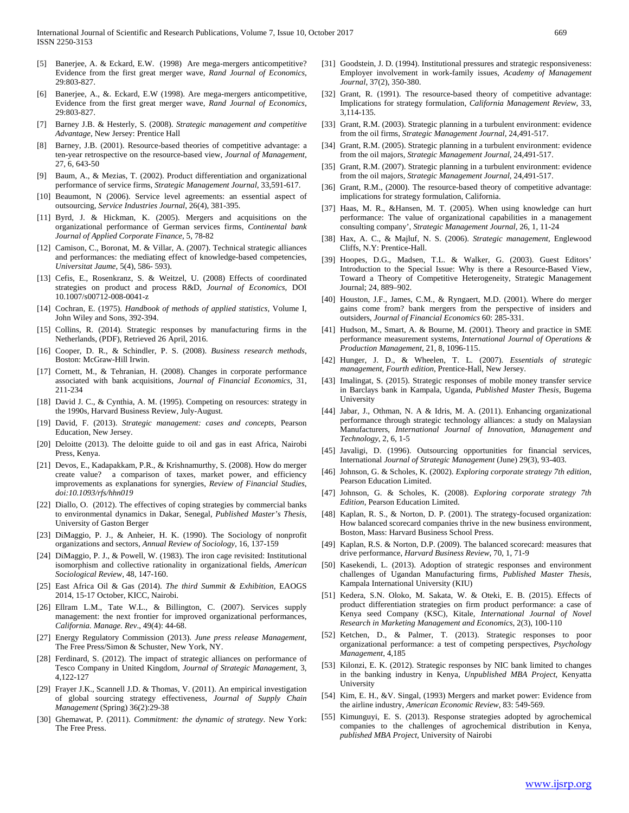- [5] Banerjee, A. & Eckard, E.W. (1998) Are mega-mergers anticompetitive? Evidence from the first great merger wave, *Rand Journal of Economics*, 29:803-827.
- [6] Banerjee, A., &. Eckard, E.W (1998). Are mega-mergers anticompetitive, Evidence from the first great merger wave, *Rand Journal of Economics*, 29:803-827.
- [7] Barney J.B. & Hesterly, S. (2008). *Strategic management and competitive Advantage*, New Jersey: Prentice Hall
- [8] Barney, J.B. (2001). Resource-based theories of competitive advantage: a ten-year retrospective on the resource-based view, *Journal of Management*, 27, 6, 643-50
- [9] Baum, A., & Mezias, T. (2002). Product differentiation and organizational performance of service firms, *Strategic Management Journal*, 33,591-617.
- [10] Beaumont, N (2006). Service level agreements: an essential aspect of outsourcing, *Service Industries Journal*, 26(4), 381-395.
- [11] Byrd, J. & Hickman, K. (2005). Mergers and acquisitions on the organizational performance of German services firms, *Continental bank Journal of Applied Corporate Finance*, 5, 78-82
- [12] Camison, C., Boronat, M. & Villar, A. (2007). Technical strategic alliances and performances: the mediating effect of knowledge-based competencies, *Universitat Jaume*, 5(4), 586- 593).
- [13] Cefis, E., Rosenkranz, S. & Weitzel, U. (2008) Effects of coordinated strategies on product and process R&D, *Journal of Economics*, DOI 10.1007/s00712-008-0041-z
- [14] Cochran, E. (1975). *Handbook of methods of applied statistics,* Volume I, John Wiley and Sons, 392-394.
- [15] Collins, R. (2014). Strategic responses by manufacturing firms in the Netherlands, (PDF), Retrieved 26 April, 2016.
- [16] Cooper, D. R., & Schindler, P. S. (2008). *Business research methods*, Boston: McGraw-Hill Irwin.
- [17] Cornett, M., & Tehranian, H. (2008). Changes in corporate performance associated with bank acquisitions, *Journal of Financial Economics*, 31, 211-234
- [18] David J. C., & Cynthia, A. M. (1995). Competing on resources: strategy in the 1990s, Harvard Business Review, July-August.
- [19] David, F. (2013). *Strategic management: cases and concepts*, Pearson Education, New Jersey.
- [20] Deloitte (2013). The deloitte guide to oil and gas in east Africa, Nairobi Press, Kenya.
- [21] Devos, E., Kadapakkam, P.R., & Krishnamurthy, S. (2008). How do merger create value? a comparison of taxes, market power, and efficiency improvements as explanations for synergies, *Review of Financial Studies*, *doi:10.1093/rfs/hhn019*
- [22] Diallo, O. (2012). The effectives of coping strategies by commercial banks to environmental dynamics in Dakar, Senegal*, Published Master's Thesis*, University of Gaston Berger
- [23] DiMaggio, P. J., & Anheier, H. K. (1990). The Sociology of nonprofit organizations and sectors, *Annual Review of Sociology*, 16, 137-159
- [24] DiMaggio, P. J., & Powell, W. (1983). The iron cage revisited: Institutional isomorphism and collective rationality in organizational fields, *American Sociological Review*, 48, 147-160.
- [25] East Africa Oil & Gas (2014). *The third Summit & Exhibition*, EAOGS 2014, 15-17 October, KICC, Nairobi.
- [26] Ellram L.M., Tate W.L., & Billington, C. (2007). Services supply management: the next frontier for improved organizational performances, *California. Manage. Rev*., 49(4): 44-68.
- [27] Energy Regulatory Commission (2013). *June press release Management*, The Free Press/Simon & Schuster, New York, NY.
- [28] Ferdinard, S. (2012). The impact of strategic alliances on performance of Tesco Company in United Kingdom, *Journal of Strategic Management*, 3, 4,122-127
- [29] Frayer J.K., Scannell J.D. & Thomas, V. (2011). An empirical investigation of global sourcing strategy effectiveness, *Journal of Supply Chain Management* (Spring) 36(2):29-38
- [30] Ghemawat, P. (2011). *Commitment: the dynamic of strategy*. New York: The Free Press.
- [31] Goodstein, J. D. (1994). Institutional pressures and strategic responsiveness: Employer involvement in work-family issues, *Academy of Management Journal*, 37(2), 350-380.
- [32] Grant, R. (1991). The resource-based theory of competitive advantage: Implications for strategy formulation, *California Management Review*, 33, 3,114-135.
- [33] Grant, R.M. (2003). Strategic planning in a turbulent environment: evidence from the oil firms, *Strategic Management Journal*, 24,491-517.
- [34] Grant, R.M. (2005). Strategic planning in a turbulent environment: evidence from the oil majors, *Strategic Management Journal*, 24,491-517.
- [35] Grant, R.M. (2007). Strategic planning in a turbulent environment: evidence from the oil majors, *Strategic Management Journal*, 24,491-517.
- [36] Grant, R.M., (2000). The resource-based theory of competitive advantage: implications for strategy formulation, California.
- [37] Haas, M. R., &Hansen, M. T. (2005). When using knowledge can hurt performance: The value of organizational capabilities in a management consulting company', *Strategic Management Journal*, 26, 1, 11-24
- [38] Hax, A. C., & Majluf, N. S. (2006). *Strategic management*, Englewood Cliffs, N.Y: Prentice-Hall.
- [39] Hoopes, D.G., Madsen, T.L. & Walker, G. (2003). Guest Editors' Introduction to the Special Issue: Why is there a Resource-Based View, Toward a Theory of Competitive Heterogeneity, Strategic Management Journal; 24, 889–902.
- [40] Houston, J.F., James, C.M., & Ryngaert, M.D. (2001). Where do merger gains come from? bank mergers from the perspective of insiders and outsiders, *Journal of Financial Economics* 60: 285-331.
- [41] Hudson, M., Smart, A. & Bourne, M. (2001). Theory and practice in SME performance measurement systems, *International Journal of Operations & Production Management*, 21, 8, 1096-115.
- [42] Hunger, J. D., & Wheelen, T. L. (2007). *Essentials of strategic management, Fourth edition*, Prentice-Hall, New Jersey.
- [43] Imalingat, S. (2015). Strategic responses of mobile money transfer service in Barclays bank in Kampala, Uganda, *Published Master Thesis*, Bugema University
- [44] Jabar, J., Othman, N. A & Idris, M. A. (2011). Enhancing organizational performance through strategic technology alliances: a study on Malaysian Manufacturers, *International Journal of Innovation, Management and Technology*, 2, 6, 1-5
- [45] Javaligi, D. (1996). Outsourcing opportunities for financial services, International *Journal of Strategic Management* (June) 29(3), 93-403.
- [46] Johnson, G. & Scholes, K. (2002). *Exploring corporate strategy 7th edition*, Pearson Education Limited.
- [47] Johnson, G. & Scholes, K. (2008). *Exploring corporate strategy 7th Edition*, Pearson Education Limited.
- [48] Kaplan, R. S., & Norton, D. P. (2001). The strategy-focused organization: How balanced scorecard companies thrive in the new business environment, Boston, Mass: Harvard Business School Press.
- [49] Kaplan, R.S. & Norton, D.P. (2009). The balanced scorecard: measures that drive performance, *Harvard Business Review*, 70, 1, 71-9
- [50] Kasekendi, L. (2013). Adoption of strategic responses and environment challenges of Ugandan Manufacturing firms, *Published Master Thesis*, Kampala International University (KIU)
- [51] Kedera, S.N. Oloko, M. Sakata, W. & Oteki, E. B. (2015). Effects of product differentiation strategies on firm product performance: a case of Kenya seed Company (KSC), Kitale, *International Journal of Novel Research in Marketing Management and Economics*, 2(3), 100-110
- [52] Ketchen, D., & Palmer, T. (2013). Strategic responses to poor organizational performance: a test of competing perspectives, *Psychology Management*, 4,185
- [53] Kilonzi, E. K. (2012). Strategic responses by NIC bank limited to changes in the banking industry in Kenya, *Unpublished MBA Project*, Kenyatta University
- [54] Kim, E. H., &V. Singal, (1993) Mergers and market power: Evidence from the airline industry, *American Economic Review*, 83: 549-569.
- [55] Kimunguyi, E. S. (2013). Response strategies adopted by agrochemical companies to the challenges of agrochemical distribution in Kenya, *published MBA Project*, University of Nairobi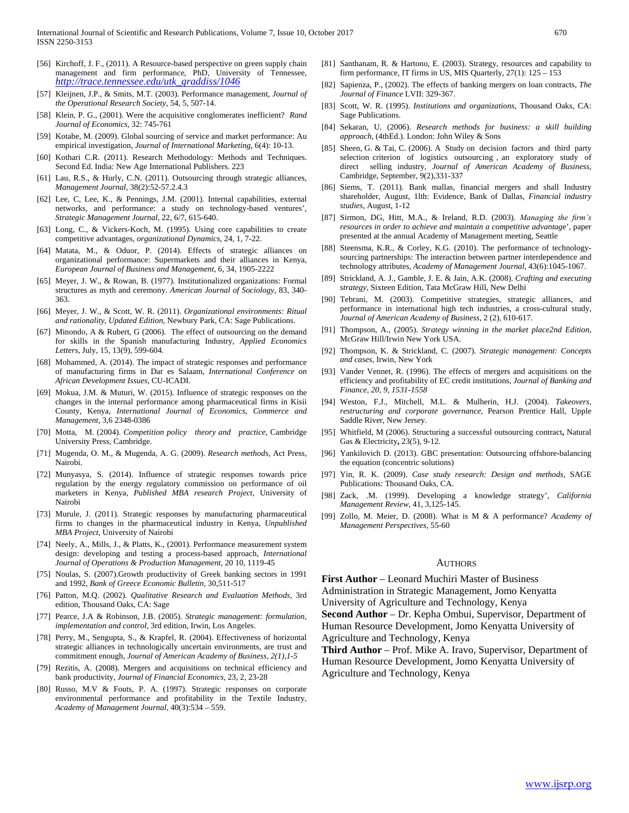- [56] Kirchoff, J. F., (2011). A Resource-based perspective on green supply chain management and firm performance, PhD, University of Tennessee, *[http://trace.tennessee.edu/utk\\_graddiss/1046](http://trace.tennessee.edu/utk_graddiss/1046)*
- [57] Kleijnen, J.P., & Smits, M.T. (2003). Performance management, *Journal of the Operational Research Society*, 54, 5, 507-14.
- [58] Klein, P. G., (2001). Were the acquisitive conglomerates inefficient? *Rand Journal of Economics*, 32: 745-761
- [59] Kotabe, M. (2009). Global sourcing of service and market performance: Au empirical investigation, *Journal of International Marketing*, 6(4): 10-13.
- [60] Kothari C.R. (2011). Research Methodology: Methods and Techniques. Second Ed. India: New Age International Publishers. 223
- [61] Lau, R.S., & Hurly, C.N. (2011). Outsourcing through strategic alliances, *Management Journal*, 38(2):52-57.2.4.3
- [62] Lee, C, Lee, K., & Pennings, J.M. (2001). Internal capabilities, external networks, and performance: a study on technology-based ventures'*, Strategic Management Journal*, 22, 6/7, 615-640.
- [63] Long, C., & Vickers-Koch, M. (1995). Using core capabilities to create competitive advantages, *organizational Dynamics*, 24, 1, 7-22.
- [64] Matata, M., & Oduor, P. (2014). Effects of strategic alliances on organizational performance: Supermarkets and their alliances in Kenya, *European Journal of Business and Management*, 6, 34, 1905-2222
- [65] Meyer, J. W., & Rowan, B. (1977). Institutionalized organizations: Formal structures as myth and ceremony. *American Journal of Sociology,* 83, 340- 363.
- [66] Meyer, J. W., & Scott, W. R. (2011). *Organizational environments: Ritual and rationality, Updated Edition*, Newbury Park, CA: Sage Publications.
- [67] Minondo, A & Rubert, G (2006). The effect of outsourcing on the demand for skills in the Spanish manufacturing Industry, *Applied Economics Letters*, July, 15, 13(9), 599-604.
- [68] Mohammed, A. (2014). The impact of strategic responses and performance of manufacturing firms in Dar es Salaam, *International Conference on African Development Issues*, CU-ICADI.
- [69] Mokua, J.M. & Muturi, W. (2015). Influence of strategic responses on the changes in the internal performance among pharmaceutical firms in Kisii County, Kenya, *International Journal of Economics, Commerce and Management*, 3,6 2348-0386
- [70] Motta, M. (2004). *Competition policy theory and practice*, Cambridge University Press, Cambridge.
- [71] Mugenda, O. M., & Mugenda, A. G. (2009). *Research methods*, Act Press, Nairobi.
- [72] Munyasya, S. (2014). Influence of strategic responses towards price regulation by the energy regulatory commission on performance of oil marketers in Kenya, *Published MBA research Project*, University of Nairobi
- [73] Murule, J. (2011). Strategic responses by manufacturing pharmaceutical firms to changes in the pharmaceutical industry in Kenya, *Unpublished MBA Project*, University of Nairobi
- [74] Neely, A., Mills, J., & Platts, K., (2001). Performance measurement system design: developing and testing a process-based approach, *International Journal of Operations & Production Management*, 20 10, 1119-45
- [75] Noulas, S. (2007).Growth productivity of Greek banking sectors in 1991 and 1992, *Bank of Greece Economic Bulletin*, 30,511-517
- [76] Patton, M.Q. (2002). *Qualitative Research and Evaluation Methods*, 3rd edition, Thousand Oaks, CA: Sage
- [77] Pearce, J.A & Robinson, J.B. (2005). *Strategic management: formulation, implementation and control*, 3rd edition, Irwin, Los Angeles.
- [78] Perry, M., Sengupta, S., & Krapfel, R. (2004). Effectiveness of horizontal strategic alliances in technologically uncertain environments, are trust and commitment enough, *Journal of American Academy of Business, 2(1),1-5*
- [79] Rezitis, A. (2008). Mergers and acquisitions on technical efficiency and bank productivity, *Journal of Financial Economics*, 23, 2, 23-28
- [80] Russo, M.V & Fouts, P. A. (1997). Strategic responses on corporate environmental performance and profitability in the Textile Industry, *Academy of Management Journal*, 40(3):534 – 559.
- [81] Santhanam, R. & Hartono, E. (2003). Strategy, resources and capability to firm performance, IT firms in US, MIS Quarterly, 27(1): 125 – 153
- [82] Sapienza, P., (2002). The effects of banking mergers on loan contracts, *The Journal of Finance* LVII: 329-367.
- [83] Scott, W. R. (1995). *Institutions and organizations*, Thousand Oaks, CA: Sage Publications.
- [84] Sekaran, U. (2006). *Research methods for business: a skill building approach*, (4thEd.). London: John Wiley & Sons
- [85] Sheen, G. & Tai, C. (2006). A Study on decision factors and third party selection criterion of logistics outsourcing , an exploratory study of direct selling industry, *Journal of American Academy of Business*, Cambridge, September, 9(2),331-337
- [86] Siems, T. (2011). Bank mallas, financial mergers and shall Industry shareholder, August, 1lth: Evidence, Bank of Dallas, *Financial industry studies*, August, 1-12
- [87] Sirmon, DG, Hitt, M.A., & Ireland, R.D. (2003). *Managing the firm's resources in order to achieve and maintain a competitive advantag*e', paper presented at the annual Academy of Management meeting, Seattle
- [88] Steensma, K.R., & Corley, K.G. (2010). The performance of technologysourcing partnerships: The interaction between partner interdependence and technology attributes, *Academy of Management Journal*, 43(6):1045-1067.
- [89] Strickland, A. J., Gamble, J. E. & Jain, A.K. (2008). *Crafting and executing strategy*, Sixteen Edition, Tata McGraw Hill, New Delhi
- [90] Tebrani, M. (2003). Competitive strategies, strategic alliances, and performance in international high tech industries, a cross-cultural study, *Journal of American Academy of Business*, 2 (2), 610-617.
- [91] Thompson, A., (2005). *Strategy winning in the market place2nd Edition*, McGraw Hill/Irwin New York USA.
- [92] Thompson, K. & Strickland, C. (2007). *Strategic management: Concepts and cases*, Irwin, New York
- [93] Vander Vennet, R. (1996). The effects of mergers and acquisitions on the efficiency and profitability of EC credit institutions, *Journal of Banking and Finance, 20, 9, 1531-1558*
- [94] Weston, F.J., Mitchell, M.L. & Mulherin, H.J. (2004). *Takeovers, restructuring and corporate governance*, Pearson Prentice Hall, Upple Saddle River, New Jersey.
- [95] Whitfield, M (2006). Structuring a successful outsourcing contract**,** Natural Gas & Electricity**,** 23(5), 9-12.
- [96] Yankilovich D. (2013). GBC presentation: Outsourcing offshore-balancing the equation (concentric solutions)
- [97] Yin, R. K. (2009). *Case study research: Design and methods*, SAGE Publications: Thousand Oaks, CA.
- [98] Zack, .M. (1999). Developing a knowledge strategy', *California Management Review*, 41, 3,125-145.
- [99] Zollo, M. Meier, D. (2008). What is M & A performance? *Academy of Management Perspectives*, 55-60

#### AUTHORS

**First Author** – Leonard Muchiri Master of Business Administration in Strategic Management, Jomo Kenyatta

University of Agriculture and Technology, Kenya

**Second Author** – Dr. Kepha Ombui, Supervisor, Department of Human Resource Development, Jomo Kenyatta University of Agriculture and Technology, Kenya

**Third Author** – Prof. Mike A. Iravo, Supervisor, Department of Human Resource Development, Jomo Kenyatta University of Agriculture and Technology, Kenya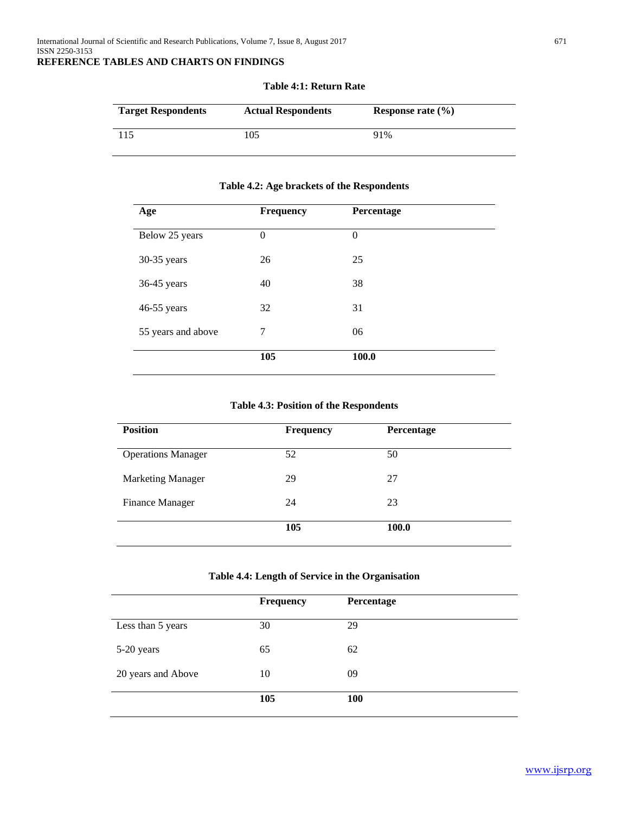# **Target Respondents Actual Respondents Response rate (%)** 115 105 91%

#### **Table 4:1: Return Rate**

#### **Table 4.2: Age brackets of the Respondents**

| Age                | Frequency        | Percentage |  |
|--------------------|------------------|------------|--|
| Below 25 years     | $\boldsymbol{0}$ | $\theta$   |  |
| 30-35 years        | 26               | 25         |  |
| 36-45 years        | 40               | 38         |  |
| 46-55 years        | 32               | 31         |  |
| 55 years and above | 7                | 06         |  |
|                    | 105              | 100.0      |  |

#### **Table 4.3: Position of the Respondents**

| <b>Position</b>           | <b>Frequency</b> | Percentage |
|---------------------------|------------------|------------|
| <b>Operations Manager</b> | 52               | 50         |
| <b>Marketing Manager</b>  | 29               | 27         |
| <b>Finance Manager</b>    | 24               | 23         |
|                           | 105              | 100.0      |

#### **Table 4.4: Length of Service in the Organisation**

|                    | <b>Frequency</b> | Percentage |
|--------------------|------------------|------------|
| Less than 5 years  | 30               | 29         |
| 5-20 years         | 65               | 62         |
| 20 years and Above | 10               | 09         |
|                    | 105              | 100        |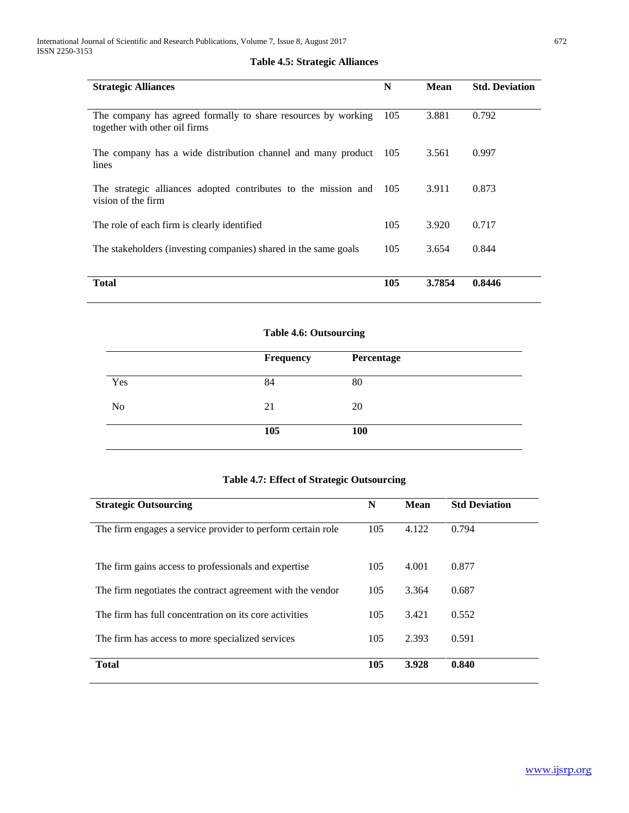| <b>Strategic Alliances</b>                                                                     |     | <b>Mean</b> | <b>Std. Deviation</b> |
|------------------------------------------------------------------------------------------------|-----|-------------|-----------------------|
| The company has agreed formally to share resources by working<br>together with other oil firms | 105 | 3.881       | 0.792                 |
| The company has a wide distribution channel and many product 105<br>lines                      |     | 3.561       | 0.997                 |
| The strategic alliances adopted contributes to the mission and<br>vision of the firm           | 105 | 3.911       | 0.873                 |
| The role of each firm is clearly identified                                                    | 105 | 3.920       | 0.717                 |
| The stakeholders (investing companies) shared in the same goals                                | 105 | 3.654       | 0.844                 |
| Total                                                                                          | 105 | 3.7854      | 0.8446                |

#### **Table 4.5: Strategic Alliances**

#### **Table 4.6: Outsourcing**

|     | Frequency | Percentage |  |
|-----|-----------|------------|--|
| Yes | 84        | 80         |  |
| No  | 21        | 20         |  |
|     | 105       | 100        |  |

#### **Table 4.7: Effect of Strategic Outsourcing**

| <b>Strategic Outsourcing</b>                                | N   | Mean  | <b>Std Deviation</b> |
|-------------------------------------------------------------|-----|-------|----------------------|
| The firm engages a service provider to perform certain role | 105 | 4.122 | 0.794                |
| The firm gains access to professionals and expertise        | 105 | 4.001 | 0.877                |
| The firm negotiates the contract agreement with the vendor  | 105 | 3.364 | 0.687                |
| The firm has full concentration on its core activities      | 105 | 3.421 | 0.552                |
| The firm has access to more specialized services            | 105 | 2.393 | 0.591                |
| <b>Total</b>                                                | 105 | 3.928 | 0.840                |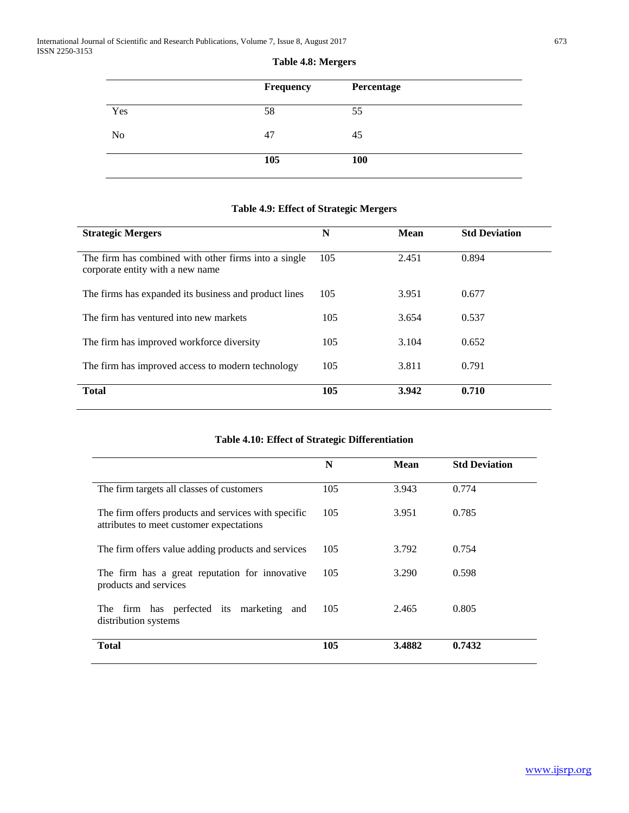|     | Frequency | Percentage |
|-----|-----------|------------|
| Yes | 58        | 55         |
| No  | 47        | 45         |
|     | 105       | 100        |

#### **Table 4.8: Mergers**

| <b>Strategic Mergers</b>                                                                 | N   | <b>Mean</b> | <b>Std Deviation</b> |
|------------------------------------------------------------------------------------------|-----|-------------|----------------------|
| The firm has combined with other firms into a single<br>corporate entity with a new name | 105 | 2.451       | 0.894                |
| The firms has expanded its business and product lines                                    | 105 | 3.951       | 0.677                |
| The firm has ventured into new markets                                                   | 105 | 3.654       | 0.537                |
| The firm has improved workforce diversity                                                | 105 | 3.104       | 0.652                |
| The firm has improved access to modern technology                                        | 105 | 3.811       | 0.791                |
| <b>Total</b>                                                                             | 105 | 3.942       | 0.710                |

#### **Table 4.9: Effect of Strategic Mergers**

#### **Table 4.10: Effect of Strategic Differentiation**

|                                                                                                 | N   | <b>Mean</b> | <b>Std Deviation</b> |
|-------------------------------------------------------------------------------------------------|-----|-------------|----------------------|
| The firm targets all classes of customers                                                       | 105 | 3.943       | 0.774                |
| The firm offers products and services with specific<br>attributes to meet customer expectations | 105 | 3.951       | 0.785                |
| The firm offers value adding products and services                                              | 105 | 3.792       | 0.754                |
| The firm has a great reputation for innovative<br>products and services                         | 105 | 3.290       | 0.598                |
| The firm has perfected its marketing<br>and<br>distribution systems                             | 105 | 2.465       | 0.805                |
| <b>Total</b>                                                                                    | 105 | 3.4882      | 0.7432               |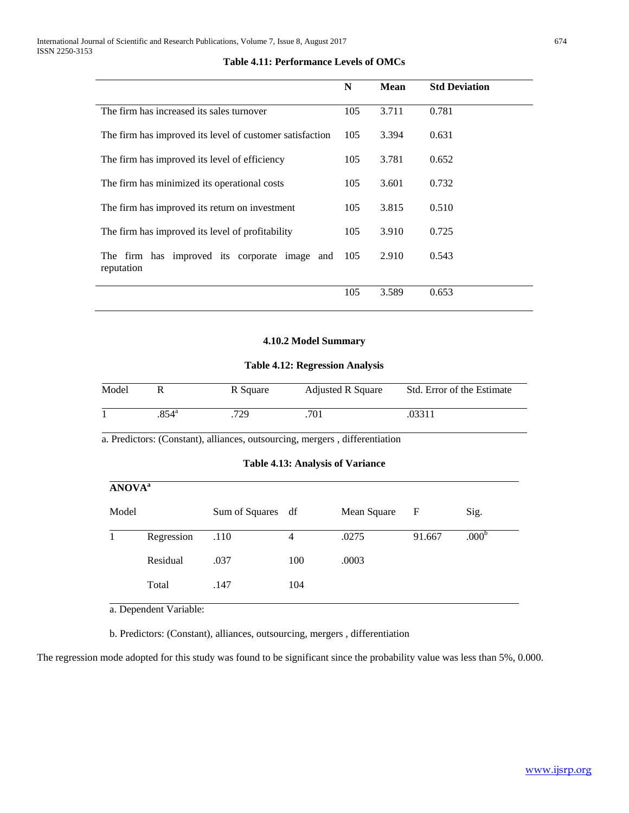|                                                             | N   | <b>Mean</b> | <b>Std Deviation</b> |
|-------------------------------------------------------------|-----|-------------|----------------------|
| The firm has increased its sales turnover                   | 105 | 3.711       | 0.781                |
| The firm has improved its level of customer satisfaction    |     | 3.394       | 0.631                |
| The firm has improved its level of efficiency               | 105 | 3.781       | 0.652                |
| The firm has minimized its operational costs                |     | 3.601       | 0.732                |
| The firm has improved its return on investment              | 105 | 3.815       | 0.510                |
| The firm has improved its level of profitability            | 105 | 3.910       | 0.725                |
| The firm has improved its corporate image and<br>reputation | 105 | 2.910       | 0.543                |
|                                                             | 105 | 3.589       | 0.653                |

#### **Table 4.11: Performance Levels of OMCs**

#### **4.10.2 Model Summary**

#### **Table 4.12: Regression Analysis**

| Model |                | R Square | <b>Adjusted R Square</b> | Std. Error of the Estimate |
|-------|----------------|----------|--------------------------|----------------------------|
|       | $.854^{\circ}$ | 729      | 701                      | .03311                     |

a. Predictors: (Constant), alliances, outsourcing, mergers , differentiation

| <b>ANOVA</b> <sup>a</sup> |            |                   |     |             |        |                   |
|---------------------------|------------|-------------------|-----|-------------|--------|-------------------|
| Model                     |            | Sum of Squares df |     | Mean Square | F      | Sig.              |
|                           | Regression | .110              | 4   | .0275       | 91.667 | .000 <sup>b</sup> |
|                           | Residual   | .037              | 100 | .0003       |        |                   |
|                           | Total      | .147              | 104 |             |        |                   |

a. Dependent Variable:

b. Predictors: (Constant), alliances, outsourcing, mergers , differentiation

The regression mode adopted for this study was found to be significant since the probability value was less than 5%, 0.000.